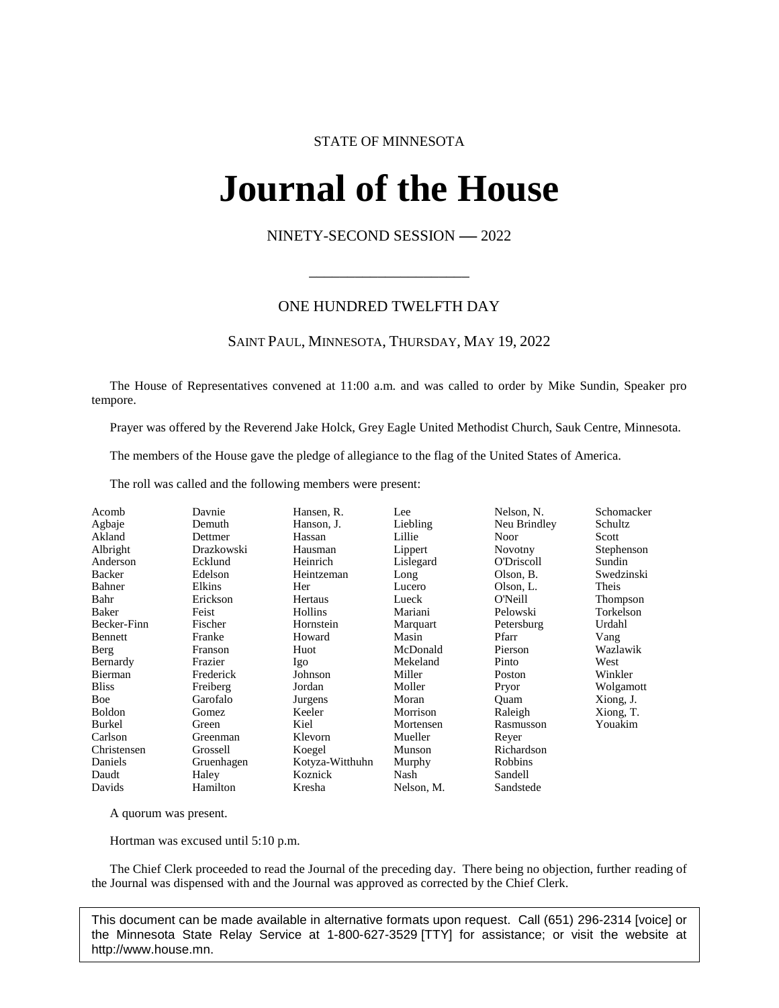# STATE OF MINNESOTA

# **Journal of the House IFINAL OL UNE FIOI**<br>NINETY-SECOND SESSION -- 2022

# ONE HUNDRED TWELFTH DAY

\_\_\_\_\_\_\_\_\_\_\_\_\_\_\_\_\_\_\_\_\_

# SAINT PAUL, MINNESOTA, THURSDAY, MAY 19, 2022

The House of Representatives convened at 11:00 a.m. and was called to order by Mike Sundin, Speaker pro tempore.

Prayer was offered by the Reverend Jake Holck, Grey Eagle United Methodist Church, Sauk Centre, Minnesota.

The members of the House gave the pledge of allegiance to the flag of the United States of America.

The roll was called and the following members were present:

| Acomb         | Davnie     | Hansen, R.      | Lee        | Nelson, N.     | Schomacker |
|---------------|------------|-----------------|------------|----------------|------------|
| Agbaje        | Demuth     | Hanson, J.      | Liebling   | Neu Brindley   | Schultz    |
| Akland        | Dettmer    | Hassan          | Lillie     | <b>Noor</b>    | Scott      |
| Albright      | Drazkowski | Hausman         | Lippert    | <b>Novotny</b> | Stephenson |
| Anderson      | Ecklund    | Heinrich        | Lislegard  | O'Driscoll     | Sundin     |
| Backer        | Edelson    | Heintzeman      | Long       | Olson, B.      | Swedzinski |
| Bahner        | Elkins     | Her             | Lucero     | Olson, L.      | Theis      |
| Bahr          | Erickson   | Hertaus         | Lueck      | O'Neill        | Thompson   |
| Baker         | Feist      | Hollins         | Mariani    | Pelowski       | Torkelson  |
| Becker-Finn   | Fischer    | Hornstein       | Marquart   | Petersburg     | Urdahl     |
| Bennett       | Franke     | Howard          | Masin      | Pfarr          | Vang       |
| Berg          | Franson    | Huot            | McDonald   | Pierson        | Wazlawik   |
| Bernardy      | Frazier    | Igo             | Mekeland   | Pinto          | West       |
| Bierman       | Frederick  | Johnson         | Miller     | Poston         | Winkler    |
| <b>Bliss</b>  | Freiberg   | Jordan          | Moller     | Pryor          | Wolgamott  |
| Boe           | Garofalo   | Jurgens         | Moran      | Ouam           | Xiong, J.  |
| <b>Boldon</b> | Gomez      | Keeler          | Morrison   | Raleigh        | Xiong, T.  |
| Burkel        | Green      | Kiel            | Mortensen  | Rasmusson      | Youakim    |
| Carlson       | Greenman   | Klevorn         | Mueller    | Reyer          |            |
| Christensen   | Grossell   | Koegel          | Munson     | Richardson     |            |
| Daniels       | Gruenhagen | Kotyza-Witthuhn | Murphy     | Robbins        |            |
| Daudt         | Haley      | Koznick         | Nash       | Sandell        |            |
| Davids        | Hamilton   | Kresha          | Nelson, M. | Sandstede      |            |
|               |            |                 |            |                |            |

A quorum was present.

Hortman was excused until 5:10 p.m.

The Chief Clerk proceeded to read the Journal of the preceding day. There being no objection, further reading of the Journal was dispensed with and the Journal was approved as corrected by the Chief Clerk.

This document can be made available in alternative formats upon request. Call (651) 296-2314 [voice] or the Minnesota State Relay Service at 1-800-627-3529 [TTY] for assistance; or visit the website at http://www.house.mn.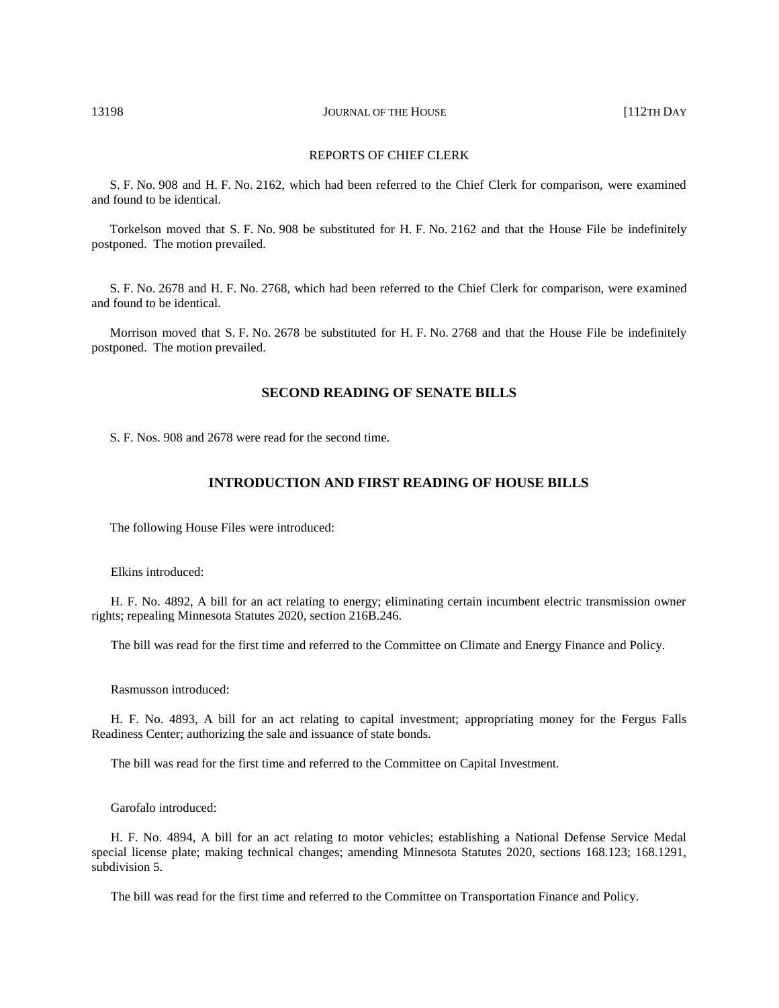13198 **JOURNAL OF THE HOUSE COMPANY OF THE HOUSE 112TH DAY** 

## REPORTS OF CHIEF CLERK

S. F. No. 908 and H. F. No. 2162, which had been referred to the Chief Clerk for comparison, were examined and found to be identical.

Torkelson moved that S. F. No. 908 be substituted for H. F. No. 2162 and that the House File be indefinitely postponed. The motion prevailed.

S. F. No. 2678 and H. F. No. 2768, which had been referred to the Chief Clerk for comparison, were examined and found to be identical.

Morrison moved that S. F. No. 2678 be substituted for H. F. No. 2768 and that the House File be indefinitely postponed. The motion prevailed.

# **SECOND READING OF SENATE BILLS**

S. F. Nos. 908 and 2678 were read for the second time.

# **INTRODUCTION AND FIRST READING OF HOUSE BILLS**

The following House Files were introduced:

Elkins introduced:

H. F. No. 4892, A bill for an act relating to energy; eliminating certain incumbent electric transmission owner rights; repealing Minnesota Statutes 2020, section 216B.246.

The bill was read for the first time and referred to the Committee on Climate and Energy Finance and Policy.

Rasmusson introduced:

H. F. No. 4893, A bill for an act relating to capital investment; appropriating money for the Fergus Falls Readiness Center; authorizing the sale and issuance of state bonds.

The bill was read for the first time and referred to the Committee on Capital Investment.

Garofalo introduced:

H. F. No. 4894, A bill for an act relating to motor vehicles; establishing a National Defense Service Medal special license plate; making technical changes; amending Minnesota Statutes 2020, sections 168.123; 168.1291, subdivision 5.

The bill was read for the first time and referred to the Committee on Transportation Finance and Policy.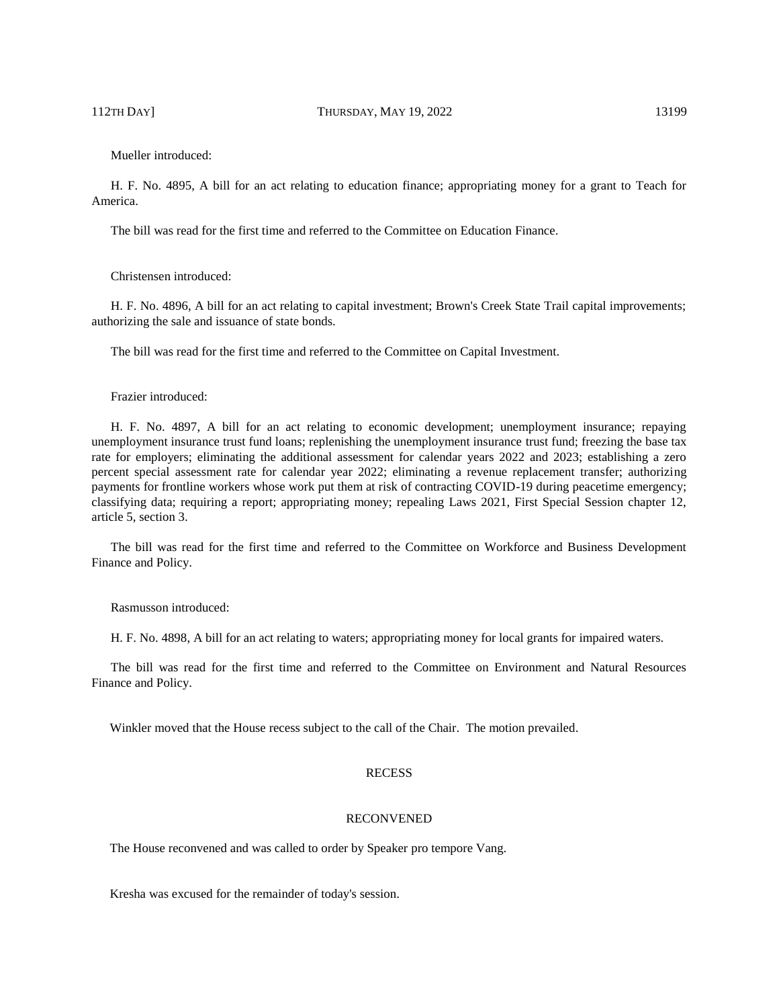112TH DAY] THURSDAY, MAY 19, 2022 13199

Mueller introduced:

H. F. No. 4895, A bill for an act relating to education finance; appropriating money for a grant to Teach for America.

The bill was read for the first time and referred to the Committee on Education Finance.

Christensen introduced:

H. F. No. 4896, A bill for an act relating to capital investment; Brown's Creek State Trail capital improvements; authorizing the sale and issuance of state bonds.

The bill was read for the first time and referred to the Committee on Capital Investment.

#### Frazier introduced:

H. F. No. 4897, A bill for an act relating to economic development; unemployment insurance; repaying unemployment insurance trust fund loans; replenishing the unemployment insurance trust fund; freezing the base tax rate for employers; eliminating the additional assessment for calendar years 2022 and 2023; establishing a zero percent special assessment rate for calendar year 2022; eliminating a revenue replacement transfer; authorizing payments for frontline workers whose work put them at risk of contracting COVID-19 during peacetime emergency; classifying data; requiring a report; appropriating money; repealing Laws 2021, First Special Session chapter 12, article 5, section 3.

The bill was read for the first time and referred to the Committee on Workforce and Business Development Finance and Policy.

Rasmusson introduced:

H. F. No. 4898, A bill for an act relating to waters; appropriating money for local grants for impaired waters.

The bill was read for the first time and referred to the Committee on Environment and Natural Resources Finance and Policy.

Winkler moved that the House recess subject to the call of the Chair. The motion prevailed.

#### **RECESS**

# RECONVENED

The House reconvened and was called to order by Speaker pro tempore Vang.

Kresha was excused for the remainder of today's session.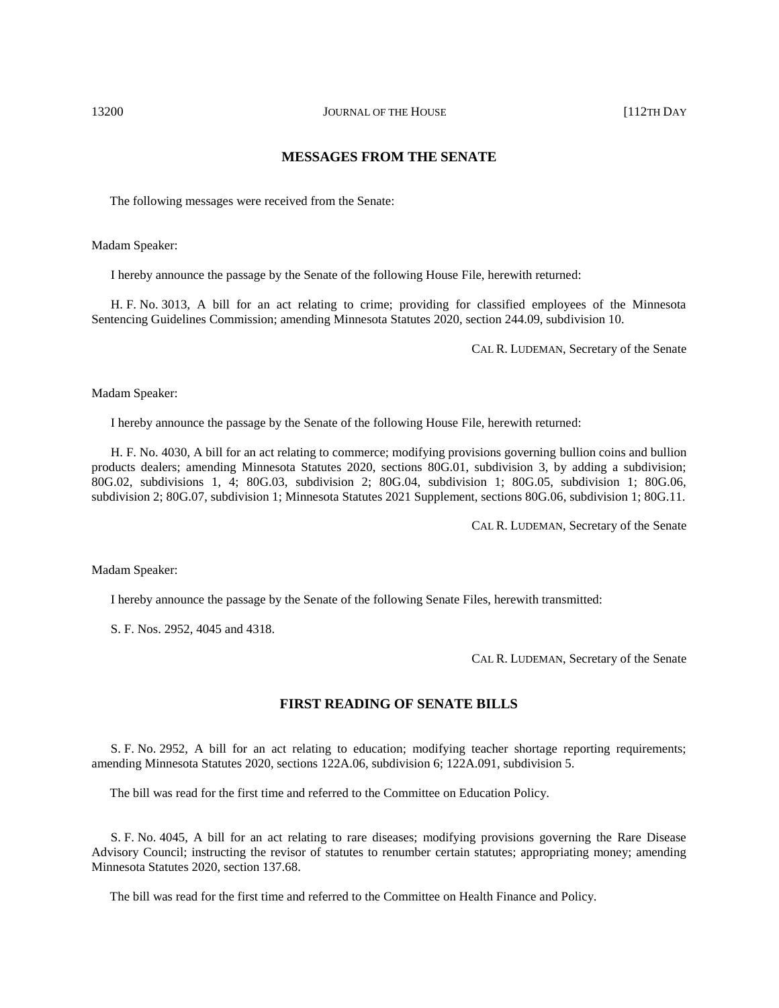# **MESSAGES FROM THE SENATE**

The following messages were received from the Senate:

Madam Speaker:

I hereby announce the passage by the Senate of the following House File, herewith returned:

H. F. No. 3013, A bill for an act relating to crime; providing for classified employees of the Minnesota Sentencing Guidelines Commission; amending Minnesota Statutes 2020, section 244.09, subdivision 10.

CAL R. LUDEMAN, Secretary of the Senate

Madam Speaker:

I hereby announce the passage by the Senate of the following House File, herewith returned:

H. F. No. 4030, A bill for an act relating to commerce; modifying provisions governing bullion coins and bullion products dealers; amending Minnesota Statutes 2020, sections 80G.01, subdivision 3, by adding a subdivision; 80G.02, subdivisions 1, 4; 80G.03, subdivision 2; 80G.04, subdivision 1; 80G.05, subdivision 1; 80G.06, subdivision 2; 80G.07, subdivision 1; Minnesota Statutes 2021 Supplement, sections 80G.06, subdivision 1; 80G.11.

CAL R. LUDEMAN, Secretary of the Senate

Madam Speaker:

I hereby announce the passage by the Senate of the following Senate Files, herewith transmitted:

S. F. Nos. 2952, 4045 and 4318.

CAL R. LUDEMAN, Secretary of the Senate

# **FIRST READING OF SENATE BILLS**

S. F. No. 2952, A bill for an act relating to education; modifying teacher shortage reporting requirements; amending Minnesota Statutes 2020, sections 122A.06, subdivision 6; 122A.091, subdivision 5.

The bill was read for the first time and referred to the Committee on Education Policy.

S. F. No. 4045, A bill for an act relating to rare diseases; modifying provisions governing the Rare Disease Advisory Council; instructing the revisor of statutes to renumber certain statutes; appropriating money; amending Minnesota Statutes 2020, section 137.68.

The bill was read for the first time and referred to the Committee on Health Finance and Policy.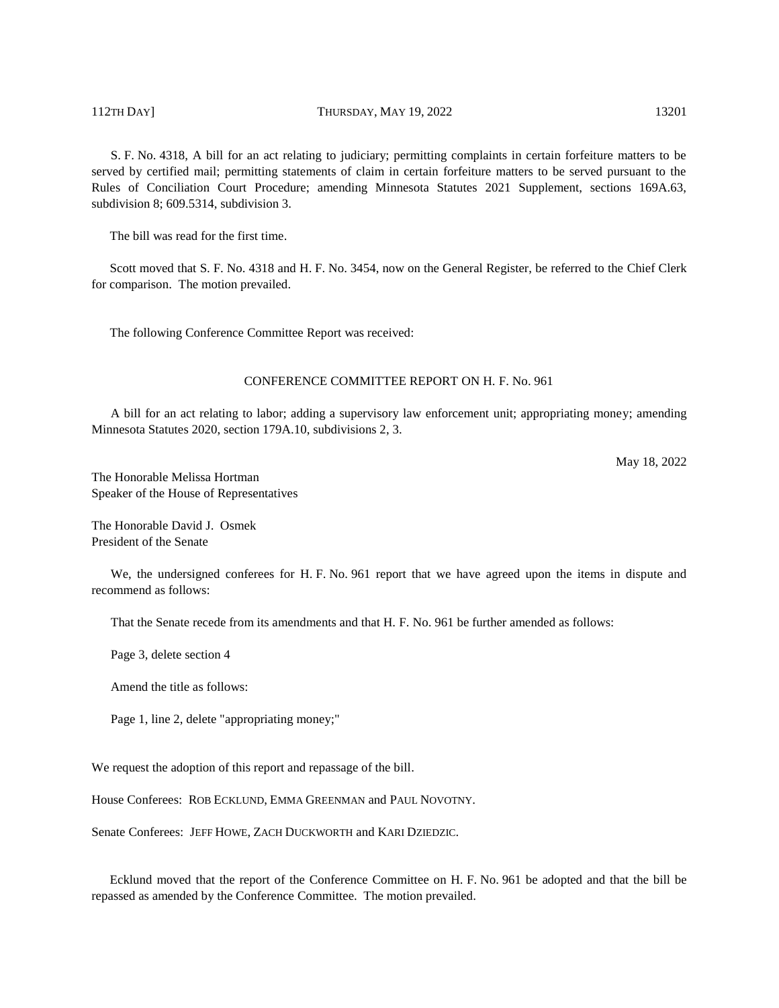# 112TH DAY] THURSDAY, MAY 19, 2022 13201

S. F. No. 4318, A bill for an act relating to judiciary; permitting complaints in certain forfeiture matters to be served by certified mail; permitting statements of claim in certain forfeiture matters to be served pursuant to the Rules of Conciliation Court Procedure; amending Minnesota Statutes 2021 Supplement, sections 169A.63, subdivision 8; 609.5314, subdivision 3.

The bill was read for the first time.

Scott moved that S. F. No. 4318 and H. F. No. 3454, now on the General Register, be referred to the Chief Clerk for comparison. The motion prevailed.

The following Conference Committee Report was received:

# CONFERENCE COMMITTEE REPORT ON H. F. No. 961

A bill for an act relating to labor; adding a supervisory law enforcement unit; appropriating money; amending Minnesota Statutes 2020, section 179A.10, subdivisions 2, 3.

May 18, 2022

The Honorable Melissa Hortman Speaker of the House of Representatives

The Honorable David J. Osmek President of the Senate

We, the undersigned conferees for H. F. No. 961 report that we have agreed upon the items in dispute and recommend as follows:

That the Senate recede from its amendments and that H. F. No. 961 be further amended as follows:

Page 3, delete section 4

Amend the title as follows:

Page 1, line 2, delete "appropriating money;"

We request the adoption of this report and repassage of the bill.

House Conferees: ROB ECKLUND, EMMA GREENMAN and PAUL NOVOTNY.

Senate Conferees: JEFF HOWE, ZACH DUCKWORTH and KARI DZIEDZIC.

Ecklund moved that the report of the Conference Committee on H. F. No. 961 be adopted and that the bill be repassed as amended by the Conference Committee. The motion prevailed.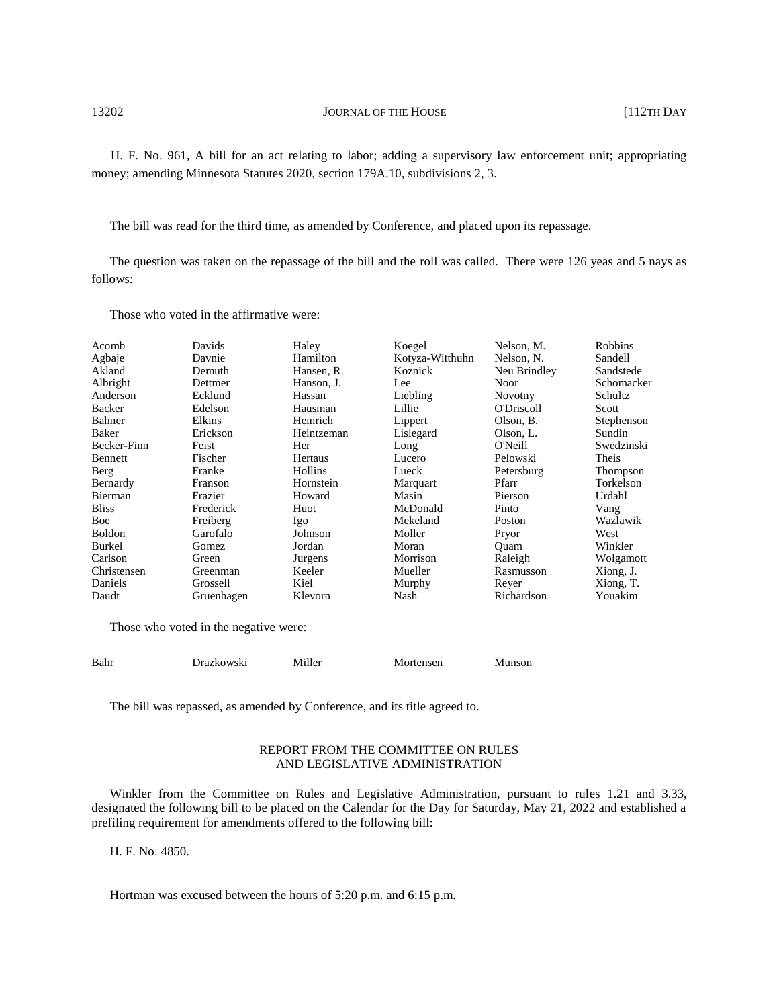13202 **JOURNAL OF THE HOUSE** [112TH DAY

H. F. No. 961, A bill for an act relating to labor; adding a supervisory law enforcement unit; appropriating money; amending Minnesota Statutes 2020, section 179A.10, subdivisions 2, 3.

The bill was read for the third time, as amended by Conference, and placed upon its repassage.

The question was taken on the repassage of the bill and the roll was called. There were 126 yeas and 5 nays as follows:

Those who voted in the affirmative were:

| Acomb         | Davids     | Haley      | Koegel          | Nelson, M.        | <b>Robbins</b> |
|---------------|------------|------------|-----------------|-------------------|----------------|
| Agbaje        | Davnie     | Hamilton   | Kotyza-Witthuhn | Nelson, N.        | Sandell        |
| Akland        | Demuth     | Hansen, R. | Koznick         | Neu Brindley      | Sandstede      |
| Albright      | Dettmer    | Hanson, J. | Lee             | Noor              | Schomacker     |
| Anderson      | Ecklund    | Hassan     | Liebling        | Novotny           | Schultz        |
| Backer        | Edelson    | Hausman    | Lillie          | <b>O'Driscoll</b> | Scott          |
| Bahner        | Elkins     | Heinrich   | Lippert         | Olson, B.         | Stephenson     |
| Baker         | Erickson   | Heintzeman | Lislegard       | Olson, L.         | Sundin         |
| Becker-Finn   | Feist      | Her        | Long            | O'Neill           | Swedzinski     |
| Bennett       | Fischer    | Hertaus    | Lucero          | Pelowski          | Theis          |
| Berg          | Franke     | Hollins    | Lueck           | Petersburg        | Thompson       |
| Bernardy      | Franson    | Hornstein  | Marquart        | Pfarr             | Torkelson      |
| Bierman       | Frazier    | Howard     | Masin           | Pierson           | Urdahl         |
| <b>Bliss</b>  | Frederick  | Huot       | McDonald        | Pinto             | Vang           |
| Boe           | Freiberg   | Igo        | Mekeland        | Poston            | Wazlawik       |
| <b>Boldon</b> | Garofalo   | Johnson    | Moller          | Pryor             | West           |
| Burkel        | Gomez      | Jordan     | Moran           | Ouam              | Winkler        |
| Carlson       | Green      | Jurgens    | Morrison        | Raleigh           | Wolgamott      |
| Christensen   | Greenman   | Keeler     | Mueller         | Rasmusson         | Xiong, J.      |
| Daniels       | Grossell   | Kiel       | Murphy          | Rever             | Xiong, T.      |
| Daudt         | Gruenhagen | Klevorn    | Nash            | Richardson        | Youakim        |

Those who voted in the negative were:

| Bahr | Drazkowski | Miller | Mortensen | Munson |
|------|------------|--------|-----------|--------|
|      |            |        |           |        |

The bill was repassed, as amended by Conference, and its title agreed to.

# REPORT FROM THE COMMITTEE ON RULES AND LEGISLATIVE ADMINISTRATION

Winkler from the Committee on Rules and Legislative Administration, pursuant to rules 1.21 and 3.33, designated the following bill to be placed on the Calendar for the Day for Saturday, May 21, 2022 and established a prefiling requirement for amendments offered to the following bill:

H. F. No. 4850.

Hortman was excused between the hours of 5:20 p.m. and 6:15 p.m.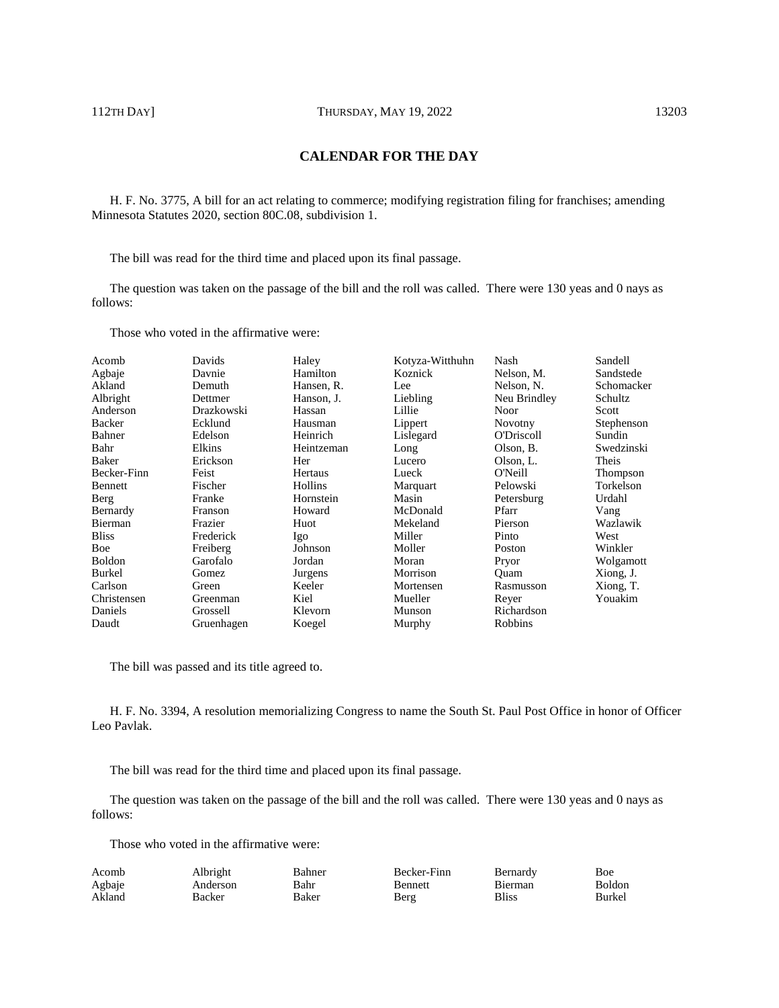# **CALENDAR FOR THE DAY**

H. F. No. 3775, A bill for an act relating to commerce; modifying registration filing for franchises; amending Minnesota Statutes 2020, section 80C.08, subdivision 1.

The bill was read for the third time and placed upon its final passage.

The question was taken on the passage of the bill and the roll was called. There were 130 yeas and 0 nays as follows:

Those who voted in the affirmative were:

| Davids     | Haley      | Kotyza-Witthuhn | Nash              | Sandell    |
|------------|------------|-----------------|-------------------|------------|
| Davnie     | Hamilton   | Koznick         | Nelson, M.        | Sandstede  |
| Demuth     | Hansen, R. | Lee             | Nelson, N.        | Schomacker |
| Dettmer    | Hanson, J. | Liebling        | Neu Brindley      | Schultz    |
| Drazkowski | Hassan     | Lillie          | <b>Noor</b>       | Scott      |
| Ecklund    | Hausman    | Lippert         | Novotny           | Stephenson |
| Edelson    | Heinrich   | Lislegard       | <b>O'Driscoll</b> | Sundin     |
| Elkins     | Heintzeman | Long            | Olson, B.         | Swedzinski |
| Erickson   | Her        | Lucero          | Olson, L.         | Theis      |
| Feist      | Hertaus    | Lueck           | O'Neill           | Thompson   |
| Fischer    | Hollins    | Marquart        | Pelowski          | Torkelson  |
| Franke     | Hornstein  | Masin           | Petersburg        | Urdahl     |
| Franson    | Howard     | McDonald        | Pfarr             | Vang       |
| Frazier    | Huot       | Mekeland        | Pierson           | Wazlawik   |
| Frederick  | Igo        | Miller          | Pinto             | West       |
| Freiberg   | Johnson    | Moller          | Poston            | Winkler    |
| Garofalo   | Jordan     | Moran           | Pryor             | Wolgamott  |
| Gomez      | Jurgens    | Morrison        | Ouam              | Xiong, J.  |
| Green      | Keeler     | Mortensen       | Rasmusson         | Xiong, T.  |
| Greenman   | Kiel       | Mueller         | Reyer             | Youakim    |
| Grossell   | Klevorn    | Munson          | Richardson        |            |
| Gruenhagen | Koegel     | Murphy          | Robbins           |            |
|            |            |                 |                   |            |

The bill was passed and its title agreed to.

H. F. No. 3394, A resolution memorializing Congress to name the South St. Paul Post Office in honor of Officer Leo Pavlak.

The bill was read for the third time and placed upon its final passage.

The question was taken on the passage of the bill and the roll was called. There were 130 yeas and 0 nays as follows:

Those who voted in the affirmative were:

| Acomb  | Albright | Bahner | Becker-Finn    | Bernardy       | Boe     |
|--------|----------|--------|----------------|----------------|---------|
| Agbaje | Anderson | Bahr   | <b>Bennett</b> | <b>Bierman</b> | Boldon. |
| Akland | Backer   | Baker  | Berg           | <b>Bliss</b>   | Burkel  |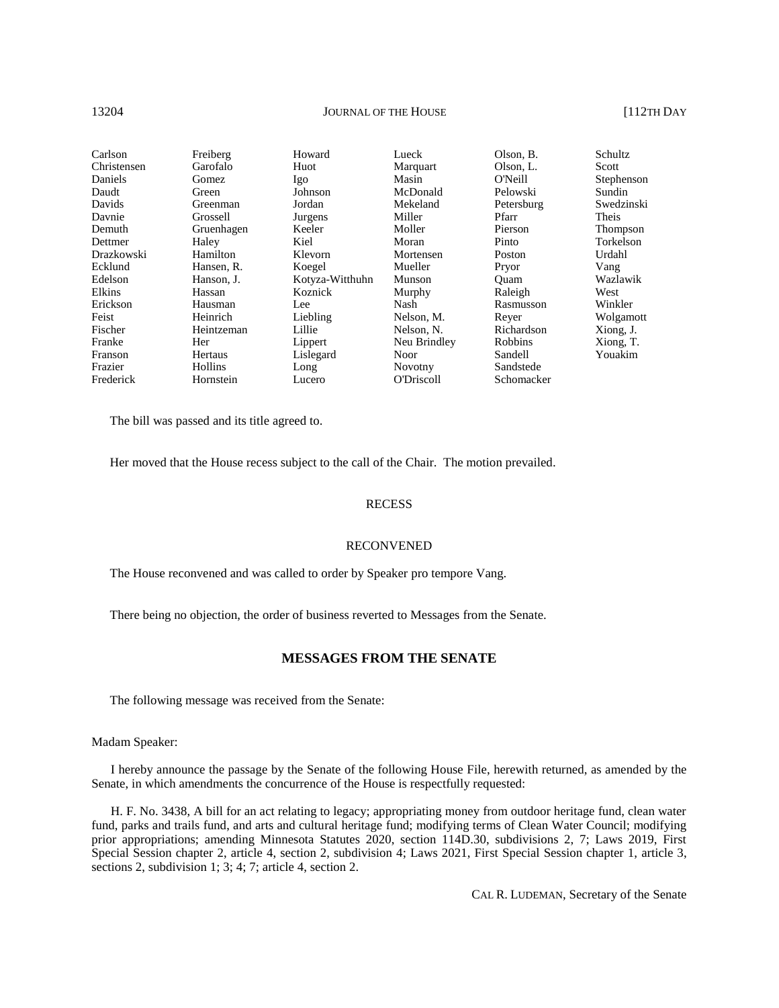#### 13204 **JOURNAL OF THE HOUSE** [112TH DAY

| Carlson     | Freiberg   | Howard          | Lueck             | Olson, B.  | Schultz    |
|-------------|------------|-----------------|-------------------|------------|------------|
| Christensen | Garofalo   | Huot            | Marquart          | Olson, L.  | Scott      |
| Daniels     | Gomez.     | Igo             | Masin             | O'Neill    | Stephenson |
| Daudt       | Green      | Johnson         | McDonald          | Pelowski   | Sundin     |
| Davids      | Greenman   | Jordan          | Mekeland          | Petersburg | Swedzinski |
| Davnie      | Grossell   | Jurgens         | Miller            | Pfarr      | Theis      |
| Demuth      | Gruenhagen | Keeler          | Moller            | Pierson    | Thompson   |
| Dettmer     | Haley      | Kiel            | Moran             | Pinto      | Torkelson  |
| Drazkowski  | Hamilton   | Klevorn         | Mortensen         | Poston     | Urdahl     |
| Ecklund     | Hansen, R. | Koegel          | Mueller           | Pryor      | Vang       |
| Edelson     | Hanson, J. | Kotyza-Witthuhn | Munson            | Ouam       | Wazlawik   |
| Elkins      | Hassan     | Koznick         | Murphy            | Raleigh    | West       |
| Erickson    | Hausman    | Lee             | Nash              | Rasmusson  | Winkler    |
| Feist       | Heinrich   | Liebling        | Nelson, M.        | Rever      | Wolgamott  |
| Fischer     | Heintzeman | Lillie          | Nelson, N.        | Richardson | Xiong, J.  |
| Franke      | Her        | Lippert         | Neu Brindley      | Robbins    | Xiong, T.  |
| Franson     | Hertaus    | Lislegard       | Noor              | Sandell    | Youakim    |
| Frazier     | Hollins    | Long            | <b>Novotny</b>    | Sandstede  |            |
| Frederick   | Hornstein  | Lucero          | <b>O'Driscoll</b> | Schomacker |            |

The bill was passed and its title agreed to.

Her moved that the House recess subject to the call of the Chair. The motion prevailed.

# **RECESS**

#### RECONVENED

The House reconvened and was called to order by Speaker pro tempore Vang.

There being no objection, the order of business reverted to Messages from the Senate.

# **MESSAGES FROM THE SENATE**

The following message was received from the Senate:

Madam Speaker:

I hereby announce the passage by the Senate of the following House File, herewith returned, as amended by the Senate, in which amendments the concurrence of the House is respectfully requested:

H. F. No. 3438, A bill for an act relating to legacy; appropriating money from outdoor heritage fund, clean water fund, parks and trails fund, and arts and cultural heritage fund; modifying terms of Clean Water Council; modifying prior appropriations; amending Minnesota Statutes 2020, section 114D.30, subdivisions 2, 7; Laws 2019, First Special Session chapter 2, article 4, section 2, subdivision 4; Laws 2021, First Special Session chapter 1, article 3, sections 2, subdivision 1; 3; 4; 7; article 4, section 2.

CAL R. LUDEMAN, Secretary of the Senate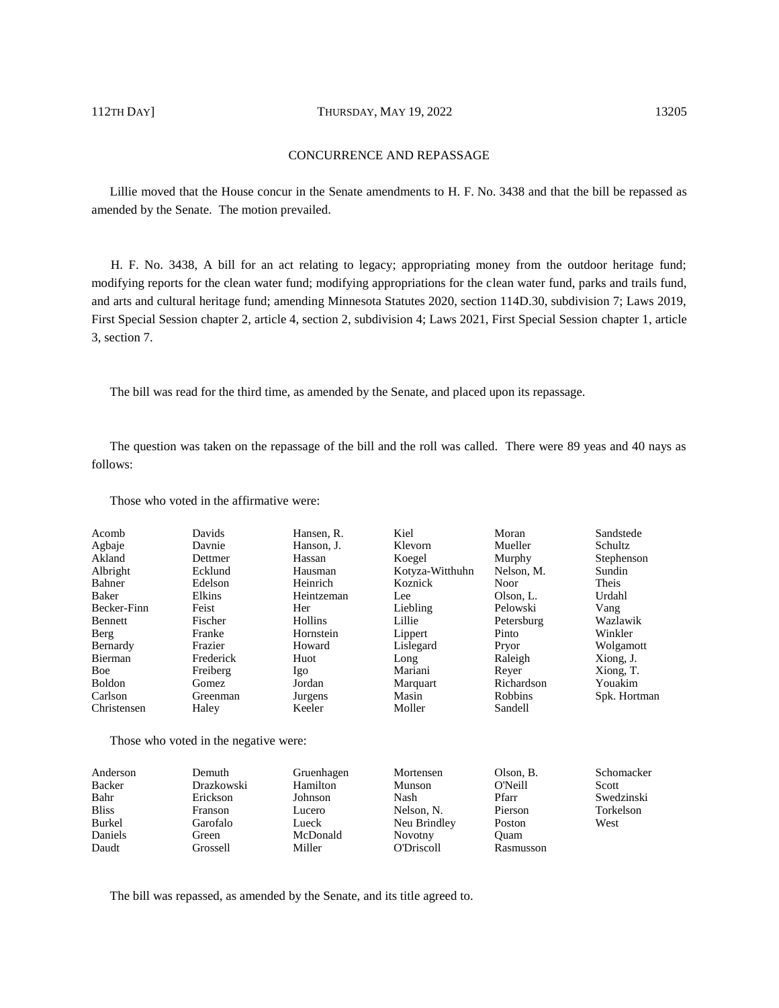# 112TH DAY] THURSDAY, MAY 19, 2022 13205

# CONCURRENCE AND REPASSAGE

Lillie moved that the House concur in the Senate amendments to H. F. No. 3438 and that the bill be repassed as amended by the Senate. The motion prevailed.

H. F. No. 3438, A bill for an act relating to legacy; appropriating money from the outdoor heritage fund; modifying reports for the clean water fund; modifying appropriations for the clean water fund, parks and trails fund, and arts and cultural heritage fund; amending Minnesota Statutes 2020, section 114D.30, subdivision 7; Laws 2019, First Special Session chapter 2, article 4, section 2, subdivision 4; Laws 2021, First Special Session chapter 1, article 3, section 7.

The bill was read for the third time, as amended by the Senate, and placed upon its repassage.

The question was taken on the repassage of the bill and the roll was called. There were 89 yeas and 40 nays as follows:

Those who voted in the affirmative were:

| Acomb         | Davids    | Hansen, R.     | Kiel            | Moran       | Sandstede      |
|---------------|-----------|----------------|-----------------|-------------|----------------|
| Agbaje        | Davnie    | Hanson, J.     | Klevorn         | Mueller     | <b>Schultz</b> |
| Akland        | Dettmer   | Hassan         | Koegel          | Murphy      | Stephenson     |
| Albright      | Ecklund   | Hausman        | Kotyza-Witthuhn | Nelson, M.  | Sundin         |
| Bahner        | Edelson   | Heinrich       | Koznick         | <b>Noor</b> | Theis          |
| Baker         | Elkins    | Heintzeman     | Lee             | Olson, L.   | Urdahl         |
| Becker-Finn   | Feist     | Her            | Liebling        | Pelowski    | Vang           |
| Bennett       | Fischer   | <b>Hollins</b> | Lillie          | Petersburg  | Wazlawik       |
| Berg          | Franke    | Hornstein      | Lippert         | Pinto       | Winkler        |
| Bernardy      | Frazier   | Howard         | Lislegard       | Pryor       | Wolgamott      |
| Bierman       | Frederick | Huot           | Long            | Raleigh     | Xiong, J.      |
| Boe           | Freiberg  | Igo            | Mariani         | Rever       | Xiong, T.      |
| <b>Boldon</b> | Gomez     | Jordan         | Marquart        | Richardson  | Youakim        |
| Carlson       | Greenman  | Jurgens        | Masin           | Robbins     | Spk. Hortman   |
| Christensen   | Haley     | Keeler         | Moller          | Sandell     |                |

Those who voted in the negative were:

| Anderson     | Demuth     | Gruenhagen | Mortensen         | Olson, B. | Schomacker |
|--------------|------------|------------|-------------------|-----------|------------|
| Backer       | Drazkowski | Hamilton   | Munson            | O'Neill   | Scott      |
| Bahr         | Erickson   | Johnson    | Nash              | Pfarr     | Swedzinski |
| <b>Bliss</b> | Franson    | Lucero     | Nelson, N.        | Pierson   | Torkelson  |
| Burkel       | Garofalo   | Lueck      | Neu Brindley      | Poston    | West       |
| Daniels      | Green      | McDonald   | <b>Novotny</b>    | Ouam      |            |
| Daudt        | Grossell   | Miller     | <b>O'Driscoll</b> | Rasmusson |            |
|              |            |            |                   |           |            |

The bill was repassed, as amended by the Senate, and its title agreed to.